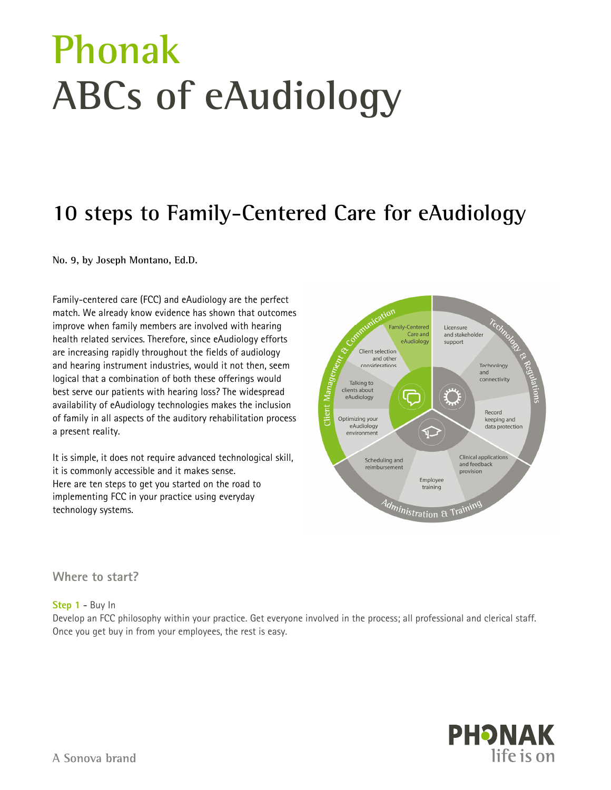# **Phonak ABCs of eAudiology**

## **10 steps to Family-Centered Care for eAudiology**

**No. 9, by Joseph Montano, Ed.D.** 

Family-centered care (FCC) and eAudiology are the perfect match. We already know evidence has shown that outcomes improve when family members are involved with hearing health related services. Therefore, since eAudiology efforts are increasing rapidly throughout the fields of audiology and hearing instrument industries, would it not then, seem logical that a combination of both these offerings would best serve our patients with hearing loss? The widespread availability of eAudiology technologies makes the inclusion of family in all aspects of the auditory rehabilitation process a present reality.

It is simple, it does not require advanced technological skill, it is commonly accessible and it makes sense. Here are ten steps to get you started on the road to implementing FCC in your practice using everyday technology systems.



**Where to start?** 

#### **Step 1** - Buy In

Develop an FCC philosophy within your practice. Get everyone involved in the process; all professional and clerical staff. Once you get buy in from your employees, the rest is easy.

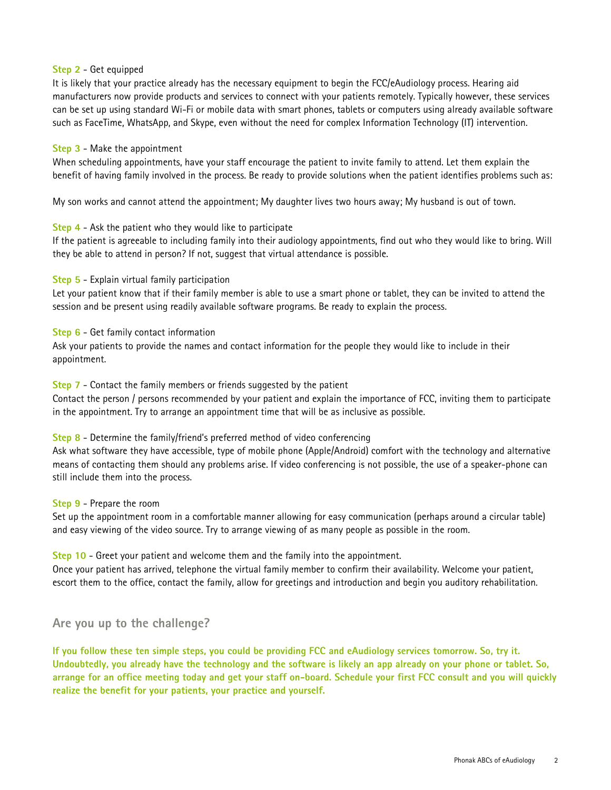#### **Step 2** - Get equipped

It is likely that your practice already has the necessary equipment to begin the FCC/eAudiology process. Hearing aid manufacturers now provide products and services to connect with your patients remotely. Typically however, these services can be set up using standard Wi-Fi or mobile data with smart phones, tablets or computers using already available software such as FaceTime, WhatsApp, and Skype, even without the need for complex Information Technology (IT) intervention.

#### **Step 3** - Make the appointment

When scheduling appointments, have your staff encourage the patient to invite family to attend. Let them explain the benefit of having family involved in the process. Be ready to provide solutions when the patient identifies problems such as:

My son works and cannot attend the appointment; My daughter lives two hours away; My husband is out of town.

#### **Step 4** - Ask the patient who they would like to participate

If the patient is agreeable to including family into their audiology appointments, find out who they would like to bring. Will they be able to attend in person? If not, suggest that virtual attendance is possible.

#### **Step 5** - Explain virtual family participation

Let your patient know that if their family member is able to use a smart phone or tablet, they can be invited to attend the session and be present using readily available software programs. Be ready to explain the process.

#### **Step 6** - Get family contact information

Ask your patients to provide the names and contact information for the people they would like to include in their appointment.

#### **Step 7** - Contact the family members or friends suggested by the patient

Contact the person / persons recommended by your patient and explain the importance of FCC, inviting them to participate in the appointment. Try to arrange an appointment time that will be as inclusive as possible.

#### **Step 8** - Determine the family/friend's preferred method of video conferencing

Ask what software they have accessible, type of mobile phone (Apple/Android) comfort with the technology and alternative means of contacting them should any problems arise. If video conferencing is not possible, the use of a speaker-phone can still include them into the process.

#### **Step 9** - Prepare the room

Set up the appointment room in a comfortable manner allowing for easy communication (perhaps around a circular table) and easy viewing of the video source. Try to arrange viewing of as many people as possible in the room.

#### **Step 10** - Greet your patient and welcome them and the family into the appointment.

Once your patient has arrived, telephone the virtual family member to confirm their availability. Welcome your patient, escort them to the office, contact the family, allow for greetings and introduction and begin you auditory rehabilitation.

#### **Are you up to the challenge?**

**If you follow these ten simple steps, you could be providing FCC and eAudiology services tomorrow. So, try it. Undoubtedly, you already have the technology and the software is likely an app already on your phone or tablet. So, arrange for an office meeting today and get your staff on-board. Schedule your first FCC consult and you will quickly realize the benefit for your patients, your practice and yourself.**